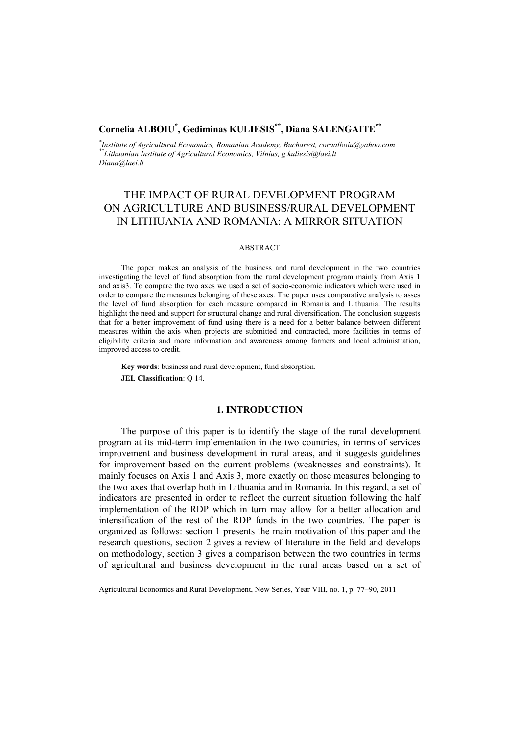## **Cornelia ALBOIU\* , Gediminas KULIESIS\*\*, Diana SALENGAITE\*\***

*\* Institute of Agricultural Economics, Romanian Academy, Bucharest, coraalboiu@yahoo.com \*\*Lithuanian Institute of Agricultural Economics, Vilnius, g.kuliesis@laei.lt Diana@laei.lt*

# THE IMPACT OF RURAL DEVELOPMENT PROGRAM ON AGRICULTURE AND BUSINESS/RURAL DEVELOPMENT IN LITHUANIA AND ROMANIA: A MIRROR SITUATION

#### ABSTRACT

The paper makes an analysis of the business and rural development in the two countries investigating the level of fund absorption from the rural development program mainly from Axis 1 and axis3. To compare the two axes we used a set of socio-economic indicators which were used in order to compare the measures belonging of these axes. The paper uses comparative analysis to asses the level of fund absorption for each measure compared in Romania and Lithuania. The results highlight the need and support for structural change and rural diversification. The conclusion suggests that for a better improvement of fund using there is a need for a better balance between different measures within the axis when projects are submitted and contracted, more facilities in terms of eligibility criteria and more information and awareness among farmers and local administration, improved access to credit.

**Key words**: business and rural development, fund absorption. **JEL Classification**: Q 14.

### **1. INTRODUCTION**

The purpose of this paper is to identify the stage of the rural development program at its mid-term implementation in the two countries, in terms of services improvement and business development in rural areas, and it suggests guidelines for improvement based on the current problems (weaknesses and constraints). It mainly focuses on Axis 1 and Axis 3, more exactly on those measures belonging to the two axes that overlap both in Lithuania and in Romania. In this regard, a set of indicators are presented in order to reflect the current situation following the half implementation of the RDP which in turn may allow for a better allocation and intensification of the rest of the RDP funds in the two countries. The paper is organized as follows: section 1 presents the main motivation of this paper and the research questions, section 2 gives a review of literature in the field and develops on methodology, section 3 gives a comparison between the two countries in terms of agricultural and business development in the rural areas based on a set of

Agricultural Economics and Rural Development, New Series, Year VIII, no. 1, p. 77–90, 2011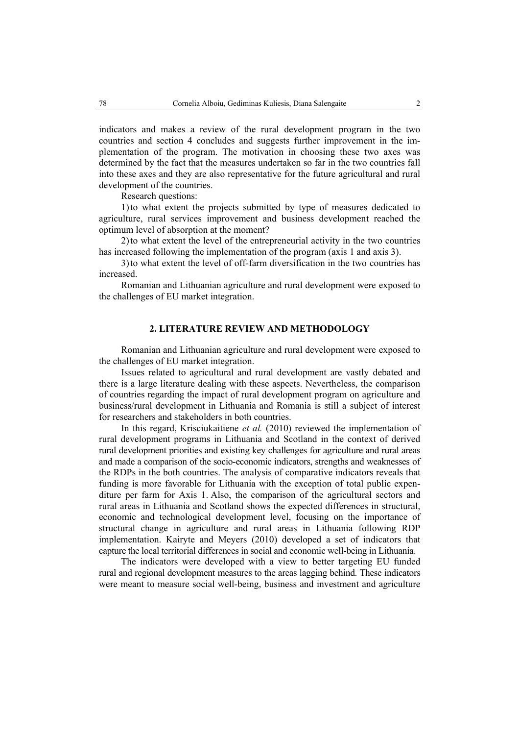indicators and makes a review of the rural development program in the two countries and section 4 concludes and suggests further improvement in the implementation of the program. The motivation in choosing these two axes was determined by the fact that the measures undertaken so far in the two countries fall into these axes and they are also representative for the future agricultural and rural development of the countries.

Research questions:

1)to what extent the projects submitted by type of measures dedicated to agriculture, rural services improvement and business development reached the optimum level of absorption at the moment?

2)to what extent the level of the entrepreneurial activity in the two countries has increased following the implementation of the program (axis 1 and axis 3).

3)to what extent the level of off-farm diversification in the two countries has increased.

Romanian and Lithuanian agriculture and rural development were exposed to the challenges of EU market integration.

### **2. LITERATURE REVIEW AND METHODOLOGY**

Romanian and Lithuanian agriculture and rural development were exposed to the challenges of EU market integration.

Issues related to agricultural and rural development are vastly debated and there is a large literature dealing with these aspects. Nevertheless, the comparison of countries regarding the impact of rural development program on agriculture and business/rural development in Lithuania and Romania is still a subject of interest for researchers and stakeholders in both countries.

In this regard, Krisciukaitiene *et al.* (2010) reviewed the implementation of rural development programs in Lithuania and Scotland in the context of derived rural development priorities and existing key challenges for agriculture and rural areas and made a comparison of the socio-economic indicators, strengths and weaknesses of the RDPs in the both countries. The analysis of comparative indicators reveals that funding is more favorable for Lithuania with the exception of total public expenditure per farm for Axis 1. Also, the comparison of the agricultural sectors and rural areas in Lithuania and Scotland shows the expected differences in structural, economic and technological development level, focusing on the importance of structural change in agriculture and rural areas in Lithuania following RDP implementation. Kairyte and Meyers (2010) developed a set of indicators that capture the local territorial differences in social and economic well-being in Lithuania.

The indicators were developed with a view to better targeting EU funded rural and regional development measures to the areas lagging behind. These indicators were meant to measure social well-being, business and investment and agriculture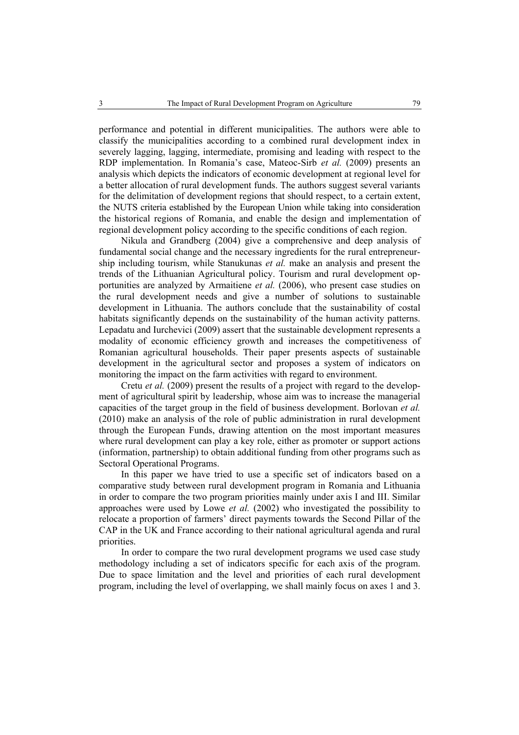performance and potential in different municipalities. The authors were able to classify the municipalities according to a combined rural development index in severely lagging, lagging, intermediate, promising and leading with respect to the RDP implementation. In Romania's case, Mateoc-Sirb *et al.* (2009) presents an analysis which depicts the indicators of economic development at regional level for a better allocation of rural development funds. The authors suggest several variants for the delimitation of development regions that should respect, to a certain extent, the NUTS criteria established by the European Union while taking into consideration the historical regions of Romania, and enable the design and implementation of regional development policy according to the specific conditions of each region.

Nikula and Grandberg (2004) give a comprehensive and deep analysis of fundamental social change and the necessary ingredients for the rural entrepreneurship including tourism, while Stanukunas *et al.* make an analysis and present the trends of the Lithuanian Agricultural policy. Tourism and rural development opportunities are analyzed by Armaitiene *et al.* (2006), who present case studies on the rural development needs and give a number of solutions to sustainable development in Lithuania. The authors conclude that the sustainability of costal habitats significantly depends on the sustainability of the human activity patterns. Lepadatu and Iurchevici (2009) assert that the sustainable development represents a modality of economic efficiency growth and increases the competitiveness of Romanian agricultural households. Their paper presents aspects of sustainable development in the agricultural sector and proposes a system of indicators on monitoring the impact on the farm activities with regard to environment.

Cretu *et al.* (2009) present the results of a project with regard to the development of agricultural spirit by leadership, whose aim was to increase the managerial capacities of the target group in the field of business development. Borlovan *et al.* (2010) make an analysis of the role of public administration in rural development through the European Funds, drawing attention on the most important measures where rural development can play a key role, either as promoter or support actions (information, partnership) to obtain additional funding from other programs such as Sectoral Operational Programs.

In this paper we have tried to use a specific set of indicators based on a comparative study between rural development program in Romania and Lithuania in order to compare the two program priorities mainly under axis I and III. Similar approaches were used by Lowe *et al.* (2002) who investigated the possibility to relocate a proportion of farmers' direct payments towards the Second Pillar of the CAP in the UK and France according to their national agricultural agenda and rural priorities.

In order to compare the two rural development programs we used case study methodology including a set of indicators specific for each axis of the program. Due to space limitation and the level and priorities of each rural development program, including the level of overlapping, we shall mainly focus on axes 1 and 3.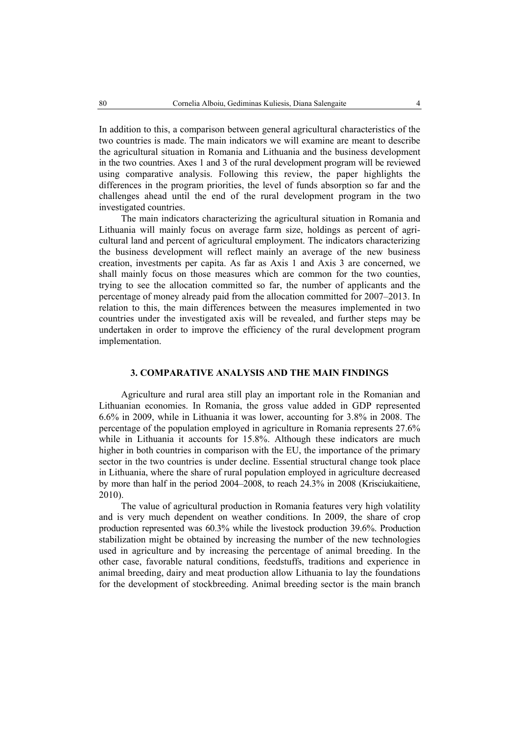In addition to this, a comparison between general agricultural characteristics of the two countries is made. The main indicators we will examine are meant to describe the agricultural situation in Romania and Lithuania and the business development in the two countries. Axes 1 and 3 of the rural development program will be reviewed using comparative analysis. Following this review, the paper highlights the differences in the program priorities, the level of funds absorption so far and the challenges ahead until the end of the rural development program in the two investigated countries.

The main indicators characterizing the agricultural situation in Romania and Lithuania will mainly focus on average farm size, holdings as percent of agricultural land and percent of agricultural employment. The indicators characterizing the business development will reflect mainly an average of the new business creation, investments per capita. As far as Axis 1 and Axis 3 are concerned, we shall mainly focus on those measures which are common for the two counties, trying to see the allocation committed so far, the number of applicants and the percentage of money already paid from the allocation committed for 2007–2013. In relation to this, the main differences between the measures implemented in two countries under the investigated axis will be revealed, and further steps may be undertaken in order to improve the efficiency of the rural development program implementation.

### **3. COMPARATIVE ANALYSIS AND THE MAIN FINDINGS**

Agriculture and rural area still play an important role in the Romanian and Lithuanian economies. In Romania, the gross value added in GDP represented 6.6% in 2009, while in Lithuania it was lower, accounting for 3.8% in 2008. The percentage of the population employed in agriculture in Romania represents 27.6% while in Lithuania it accounts for 15.8%. Although these indicators are much higher in both countries in comparison with the EU, the importance of the primary sector in the two countries is under decline. Essential structural change took place in Lithuania, where the share of rural population employed in agriculture decreased by more than half in the period 2004–2008, to reach 24.3% in 2008 (Krisciukaitiene, 2010).

The value of agricultural production in Romania features very high volatility and is very much dependent on weather conditions. In 2009, the share of crop production represented was 60.3% while the livestock production 39.6%. Production stabilization might be obtained by increasing the number of the new technologies used in agriculture and by increasing the percentage of animal breeding. In the other case, favorable natural conditions, feedstuffs, traditions and experience in animal breeding, dairy and meat production allow Lithuania to lay the foundations for the development of stockbreeding. Animal breeding sector is the main branch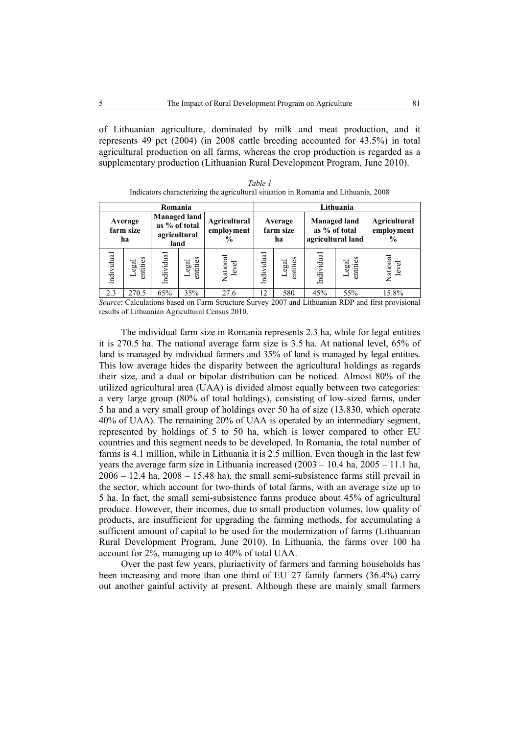of Lithuanian agriculture, dominated by milk and meat production, and it represents 49 pct (2004) (in 2008 cattle breeding accounted for 43.5%) in total agricultural production on all farms, whereas the crop production is regarded as a supplementary production (Lithuanian Rural Development Program, June 2010).

| Table 1                                                                             |
|-------------------------------------------------------------------------------------|
| Indicators characterizing the agricultural situation in Romania and Lithuania, 2008 |

| Romania                    |                  |                                                              |                               |                                             |                            |                   | Lithuania                                                 |                   |                                                     |
|----------------------------|------------------|--------------------------------------------------------------|-------------------------------|---------------------------------------------|----------------------------|-------------------|-----------------------------------------------------------|-------------------|-----------------------------------------------------|
| Average<br>farm size<br>ha |                  | <b>Managed land</b><br>as % of total<br>agricultural<br>land |                               | Agricultural<br>employment<br>$\frac{6}{9}$ | Average<br>farm size<br>ha |                   | <b>Managed land</b><br>as % of total<br>agricultural land |                   | <b>Agricultural</b><br>employment<br>$\frac{6}{10}$ |
| Individual                 | entities<br>egal | Individual                                                   | entities<br>$_{\rm gal}$<br>┙ | National<br>level                           | Individual                 | Legal<br>entities | Individual                                                | entities<br>Legal | National<br>level                                   |
| 2.3                        | 270.5            | 65%                                                          | 35%                           | 27.6                                        | 12                         | 580               | 45%                                                       | 55%               | 15.8%                                               |

*Source*: Calculations based on Farm Structure Survey 2007 and Lithuanian RDP and first provisional results of Lithuanian Agricultural Census 2010.

The individual farm size in Romania represents 2.3 ha, while for legal entities it is 270.5 ha. The national average farm size is 3.5 ha. At national level, 65% of land is managed by individual farmers and 35% of land is managed by legal entities. This low average hides the disparity between the agricultural holdings as regards their size, and a dual or bipolar distribution can be noticed. Almost 80% of the utilized agricultural area (UAA) is divided almost equally between two categories: a very large group (80% of total holdings), consisting of low-sized farms, under 5 ha and a very small group of holdings over 50 ha of size (13.830, which operate 40% of UAA). The remaining 20% of UAA is operated by an intermediary segment, represented by holdings of 5 to 50 ha, which is lower compared to other EU countries and this segment needs to be developed. In Romania, the total number of farms is 4.1 million, while in Lithuania it is 2.5 million. Even though in the last few years the average farm size in Lithuania increased  $(2003 - 10.4$  ha,  $2005 - 11.1$  ha,  $2006 - 12.4$  ha,  $2008 - 15.48$  ha), the small semi-subsistence farms still prevail in the sector, which account for two-thirds of total farms, with an average size up to 5 ha. In fact, the small semi-subsistence farms produce about 45% of agricultural produce. However, their incomes, due to small production volumes, low quality of products, are insufficient for upgrading the farming methods, for accumulating a sufficient amount of capital to be used for the modernization of farms (Lithuanian Rural Development Program, June 2010). In Lithuania, the farms over 100 ha account for 2%, managing up to 40% of total UAA.

Over the past few years, pluriactivity of farmers and farming households has been increasing and more than one third of EU–27 family farmers (36.4%) carry out another gainful activity at present. Although these are mainly small farmers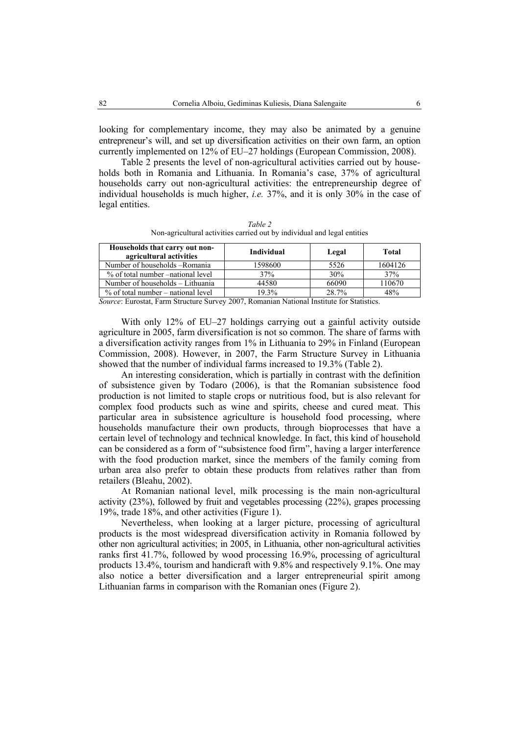looking for complementary income, they may also be animated by a genuine entrepreneur's will, and set up diversification activities on their own farm, an option currently implemented on 12% of EU–27 holdings (European Commission, 2008).

Table 2 presents the level of non-agricultural activities carried out by households both in Romania and Lithuania. In Romania's case, 37% of agricultural households carry out non-agricultural activities: the entrepreneurship degree of individual households is much higher, *i.e.* 37%, and it is only 30% in the case of legal entities.

| Households that carry out non-<br>agricultural activities | Individual | Legal | Total   |  |  |  |  |
|-----------------------------------------------------------|------------|-------|---------|--|--|--|--|
| Number of households – Romania                            | 1598600    | 5526  | 1604126 |  |  |  |  |
| % of total number –national level                         | 37%        | 30%   | 37%     |  |  |  |  |
| Number of households – Lithuania                          | 44580      | 66090 | 110670  |  |  |  |  |
| $%$ of total number – national level                      | 19.3%      | 28.7% | 48%     |  |  |  |  |

*Table 2*  Non-agricultural activities carried out by individual and legal entities

*Source*: Eurostat, Farm Structure Survey 2007, Romanian National Institute for Statistics.

% of total number – national level  $19.3\%$  28.7% 48%

With only 12% of EU–27 holdings carrying out a gainful activity outside agriculture in 2005, farm diversification is not so common. The share of farms with a diversification activity ranges from 1% in Lithuania to 29% in Finland (European Commission, 2008). However, in 2007, the Farm Structure Survey in Lithuania showed that the number of individual farms increased to 19.3% (Table 2).

An interesting consideration, which is partially in contrast with the definition of subsistence given by Todaro (2006), is that the Romanian subsistence food production is not limited to staple crops or nutritious food, but is also relevant for complex food products such as wine and spirits, cheese and cured meat. This particular area in subsistence agriculture is household food processing, where households manufacture their own products, through bioprocesses that have a certain level of technology and technical knowledge. In fact, this kind of household can be considered as a form of "subsistence food firm", having a larger interference with the food production market, since the members of the family coming from urban area also prefer to obtain these products from relatives rather than from retailers (Bleahu, 2002).

At Romanian national level, milk processing is the main non-agricultural activity (23%), followed by fruit and vegetables processing (22%), grapes processing 19%, trade 18%, and other activities (Figure 1).

Nevertheless, when looking at a larger picture, processing of agricultural products is the most widespread diversification activity in Romania followed by other non agricultural activities; in 2005, in Lithuania, other non-agricultural activities ranks first 41.7%, followed by wood processing 16.9%, processing of agricultural products 13.4%, tourism and handicraft with 9.8% and respectively 9.1%. One may also notice a better diversification and a larger entrepreneurial spirit among Lithuanian farms in comparison with the Romanian ones (Figure 2).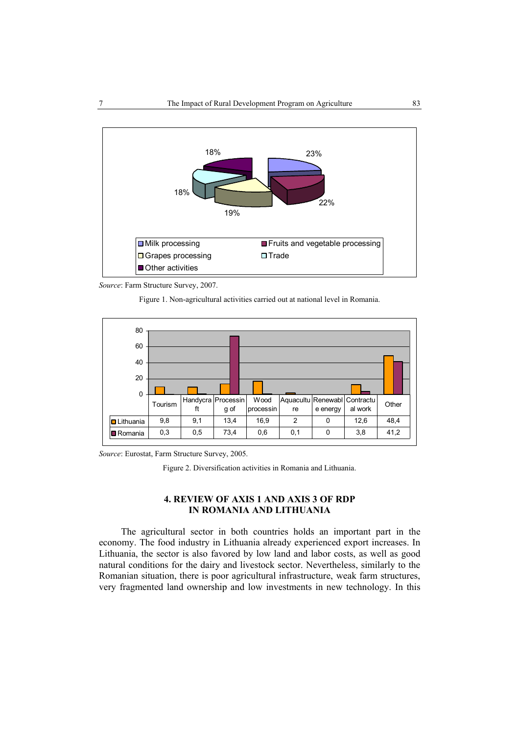



Figure 1. Non-agricultural activities carried out at national level in Romania.



*Source*: Eurostat, Farm Structure Survey, 2005.

Figure 2. Diversification activities in Romania and Lithuania.

### **4. REVIEW OF AXIS 1 AND AXIS 3 OF RDP IN ROMANIA AND LITHUANIA**

The agricultural sector in both countries holds an important part in the economy. The food industry in Lithuania already experienced export increases. In Lithuania, the sector is also favored by low land and labor costs, as well as good natural conditions for the dairy and livestock sector. Nevertheless, similarly to the Romanian situation, there is poor agricultural infrastructure, weak farm structures, very fragmented land ownership and low investments in new technology. In this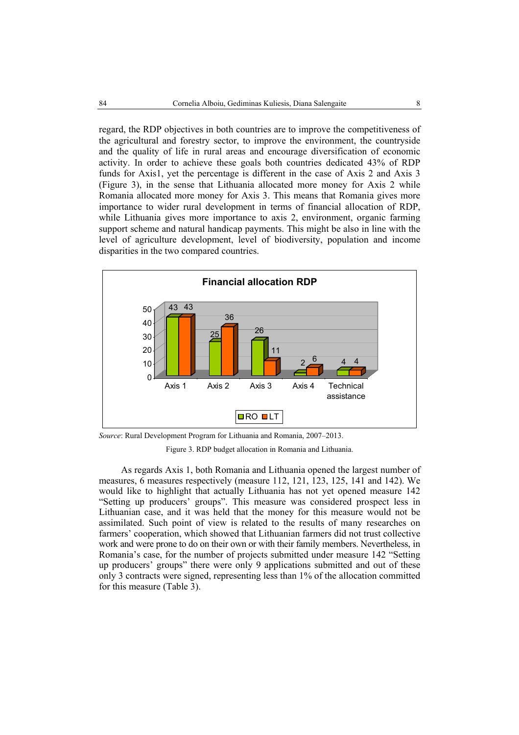regard, the RDP objectives in both countries are to improve the competitiveness of the agricultural and forestry sector, to improve the environment, the countryside and the quality of life in rural areas and encourage diversification of economic activity. In order to achieve these goals both countries dedicated 43% of RDP funds for Axis1, yet the percentage is different in the case of Axis 2 and Axis 3 (Figure 3), in the sense that Lithuania allocated more money for Axis 2 while Romania allocated more money for Axis 3. This means that Romania gives more importance to wider rural development in terms of financial allocation of RDP, while Lithuania gives more importance to axis 2, environment, organic farming support scheme and natural handicap payments. This might be also in line with the level of agriculture development, level of biodiversity, population and income disparities in the two compared countries.



*Source*: Rural Development Program for Lithuania and Romania, 2007–2013.

Figure 3. RDP budget allocation in Romania and Lithuania.

As regards Axis 1, both Romania and Lithuania opened the largest number of measures, 6 measures respectively (measure 112, 121, 123, 125, 141 and 142). We would like to highlight that actually Lithuania has not yet opened measure 142 "Setting up producers' groups". This measure was considered prospect less in Lithuanian case, and it was held that the money for this measure would not be assimilated. Such point of view is related to the results of many researches on farmers' cooperation, which showed that Lithuanian farmers did not trust collective work and were prone to do on their own or with their family members. Nevertheless, in Romania's case, for the number of projects submitted under measure 142 "Setting up producers' groups" there were only 9 applications submitted and out of these only 3 contracts were signed, representing less than 1% of the allocation committed for this measure (Table 3).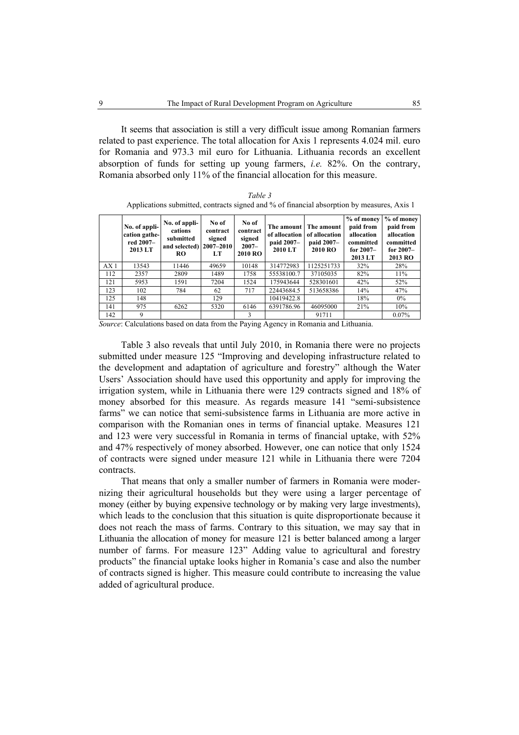It seems that association is still a very difficult issue among Romanian farmers related to past experience. The total allocation for Axis 1 represents 4.024 mil. euro for Romania and 973.3 mil euro for Lithuania. Lithuania records an excellent absorption of funds for setting up young farmers, *i.e.* 82%. On the contrary, Romania absorbed only 11% of the financial allocation for this measure.

|                 | No. of appli-<br>cation gathe-<br>red 2007-<br>2013 LT | No. of appli-<br>cations<br>submitted<br>and selected) 2007-2010<br><b>RO</b> | No of<br>contract<br>signed<br>LT | No of<br>contract<br>signed<br>$2007 -$<br><b>2010 RO</b> | The amount<br>of allocation<br>paid 2007–<br>2010 LT | The amount<br>of allocation<br>paid 2007–<br>2010 RO | % of money<br>paid from<br>allocation<br>committed<br>for $2007 -$<br>2013 LT | % of money<br>paid from<br>allocation<br>committed<br>for $2007-$<br>2013 RO |
|-----------------|--------------------------------------------------------|-------------------------------------------------------------------------------|-----------------------------------|-----------------------------------------------------------|------------------------------------------------------|------------------------------------------------------|-------------------------------------------------------------------------------|------------------------------------------------------------------------------|
| AX <sub>1</sub> | 13543                                                  | 11446                                                                         | 49659                             | 10148                                                     | 314772983                                            | 1125251733                                           | 32%                                                                           | 28%                                                                          |
| 112             | 2357                                                   | 2809                                                                          | 1489                              | 1758                                                      | 55538100.7                                           | 37105035                                             | 82%                                                                           | 11%                                                                          |
| 121             | 5953                                                   | 1591                                                                          | 7204                              | 1524                                                      | 175943644                                            | 528301601                                            | 42%                                                                           | 52%                                                                          |
| 123             | 102                                                    | 784                                                                           | 62                                | 717                                                       | 22443684.5                                           | 513658386                                            | 14%                                                                           | 47%                                                                          |
| 125             | 148                                                    |                                                                               | 129                               |                                                           | 10419422.8                                           |                                                      | 18%                                                                           | $0\%$                                                                        |
| 141             | 975                                                    | 6262                                                                          | 5320                              | 6146                                                      | 6391786.96                                           | 46095000                                             | 21%                                                                           | 10%                                                                          |
| 142             | 9                                                      |                                                                               |                                   | 3                                                         |                                                      | 91711                                                |                                                                               | 0.07%                                                                        |

*Table 3*  Applications submitted, contracts signed and % of financial absorption by measures, Axis 1

*Source*: Calculations based on data from the Paying Agency in Romania and Lithuania.

Table 3 also reveals that until July 2010, in Romania there were no projects submitted under measure 125 "Improving and developing infrastructure related to the development and adaptation of agriculture and forestry" although the Water Users' Association should have used this opportunity and apply for improving the irrigation system, while in Lithuania there were 129 contracts signed and 18% of money absorbed for this measure. As regards measure 141 "semi-subsistence farms" we can notice that semi-subsistence farms in Lithuania are more active in comparison with the Romanian ones in terms of financial uptake. Measures 121 and 123 were very successful in Romania in terms of financial uptake, with 52% and 47% respectively of money absorbed. However, one can notice that only 1524 of contracts were signed under measure 121 while in Lithuania there were 7204 contracts.

That means that only a smaller number of farmers in Romania were modernizing their agricultural households but they were using a larger percentage of money (either by buying expensive technology or by making very large investments), which leads to the conclusion that this situation is quite disproportionate because it does not reach the mass of farms. Contrary to this situation, we may say that in Lithuania the allocation of money for measure 121 is better balanced among a larger number of farms. For measure 123" Adding value to agricultural and forestry products" the financial uptake looks higher in Romania's case and also the number of contracts signed is higher. This measure could contribute to increasing the value added of agricultural produce.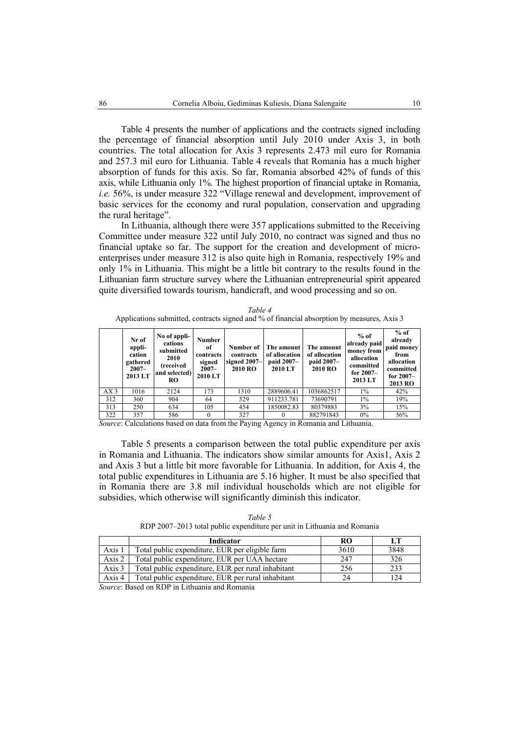Table 4 presents the number of applications and the contracts signed including the percentage of financial absorption until July 2010 under Axis 3, in both countries. The total allocation for Axis 3 represents 2.473 mil euro for Romania and 257.3 mil euro for Lithuania. Table 4 reveals that Romania has a much higher absorption of funds for this axis. So far, Romania absorbed 42% of funds of this axis, while Lithuania only 1%. The highest proportion of financial uptake in Romania, *i.e.* 56%, is under measure 322 "Village renewal and development, improvement of basic services for the economy and rural population, conservation and upgrading the rural heritage".

In Lithuania, although there were 357 applications submitted to the Receiving Committee under measure 322 until July 2010, no contract was signed and thus no financial uptake so far. The support for the creation and development of microenterprises under measure 312 is also quite high in Romania, respectively 19% and only 1% in Lithuania. This might be a little bit contrary to the results found in the Lithuanian farm structure survey where the Lithuanian entrepreneurial spirit appeared quite diversified towards tourism, handicraft, and wood processing and so on.

| Table 4                                                                                    |
|--------------------------------------------------------------------------------------------|
| Applications submitted, contracts signed and % of financial absorption by measures, Axis 3 |

|                 | Nr of<br>appli-<br>cation<br>gathered<br>$2007 -$<br>2013 LT | No of appli-<br>cations<br>submitted<br>2010<br>(received<br>and selected)<br><b>RO</b> | Number<br>оf<br>contracts<br>signed<br>$2007 -$<br>2010 LT | Number of<br>contracts<br>signed $2007-$<br>2010 RO | The amount<br>of allocation<br>paid 2007–<br>2010 LT | The amount<br>of allocation<br>paid 2007–<br>2010 RO | $%$ of<br>already paid<br>money from<br>allocation<br>committed<br>for $2007-$<br>2013 LT | $%$ of<br>already<br>paid money<br>from<br>allocation<br>committed<br>for $2007-$<br>2013 RO |
|-----------------|--------------------------------------------------------------|-----------------------------------------------------------------------------------------|------------------------------------------------------------|-----------------------------------------------------|------------------------------------------------------|------------------------------------------------------|-------------------------------------------------------------------------------------------|----------------------------------------------------------------------------------------------|
| AX <sub>3</sub> | 1016                                                         | 2124                                                                                    | 173                                                        | 1310                                                | 2889606.41                                           | 1036862517                                           | $1\%$                                                                                     | 42%                                                                                          |
| 312             | 360                                                          | 904                                                                                     | 64                                                         | 529                                                 | 911233.781                                           | 73690791                                             | $1\%$                                                                                     | 19%                                                                                          |
| 313             | 250                                                          | 634                                                                                     | 105                                                        | 454                                                 | 1850082.83                                           | 80379883                                             | 3%                                                                                        | 15%                                                                                          |
| 322             | 357                                                          | 586                                                                                     | 0                                                          | 327                                                 |                                                      | 882791843                                            | $0\%$                                                                                     | 56%                                                                                          |

*Source*: Calculations based on data from the Paying Agency in Romania and Lithuania.

Table 5 presents a comparison between the total public expenditure per axis in Romania and Lithuania. The indicators show similar amounts for Axis1, Axis 2 and Axis 3 but a little bit more favorable for Lithuania. In addition, for Axis 4, the total public expenditures in Lithuania are 5.16 higher. It must be also specified that in Romania there are 3.8 mil individual households which are not eligible for subsidies, which otherwise will significantly diminish this indicator.

*Table 5*  RDP 2007–2013 total public expenditure per unit in Lithuania and Romania

|          | Indicator                                          | RO   | LT   |
|----------|----------------------------------------------------|------|------|
| Axis 1   | Total public expenditure, EUR per eligible farm    | 3610 | 3848 |
| Axis 2   | Total public expenditure, EUR per UAA hectare      | 247  | 326  |
| Axis $3$ | Total public expenditure, EUR per rural inhabitant | 256  | 233  |
| Axis 4   | Total public expenditure, EUR per rural inhabitant | 24   | 124  |

*Source*: Based on RDP in Lithuania and Romania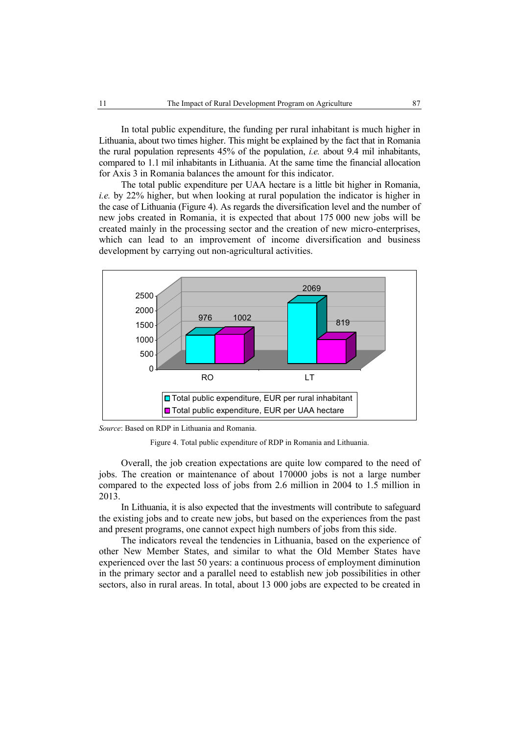In total public expenditure, the funding per rural inhabitant is much higher in Lithuania, about two times higher. This might be explained by the fact that in Romania the rural population represents 45% of the population, *i.e.* about 9.4 mil inhabitants, compared to 1.1 mil inhabitants in Lithuania. At the same time the financial allocation for Axis 3 in Romania balances the amount for this indicator.

The total public expenditure per UAA hectare is a little bit higher in Romania, *i.e.* by 22% higher, but when looking at rural population the indicator is higher in the case of Lithuania (Figure 4). As regards the diversification level and the number of new jobs created in Romania, it is expected that about 175 000 new jobs will be created mainly in the processing sector and the creation of new micro-enterprises, which can lead to an improvement of income diversification and business development by carrying out non-agricultural activities.



*Source*: Based on RDP in Lithuania and Romania.

Figure 4. Total public expenditure of RDP in Romania and Lithuania.

Overall, the job creation expectations are quite low compared to the need of jobs. The creation or maintenance of about 170000 jobs is not a large number compared to the expected loss of jobs from 2.6 million in 2004 to 1.5 million in 2013.

In Lithuania, it is also expected that the investments will contribute to safeguard the existing jobs and to create new jobs, but based on the experiences from the past and present programs, one cannot expect high numbers of jobs from this side.

The indicators reveal the tendencies in Lithuania, based on the experience of other New Member States, and similar to what the Old Member States have experienced over the last 50 years: a continuous process of employment diminution in the primary sector and a parallel need to establish new job possibilities in other sectors, also in rural areas. In total, about 13 000 jobs are expected to be created in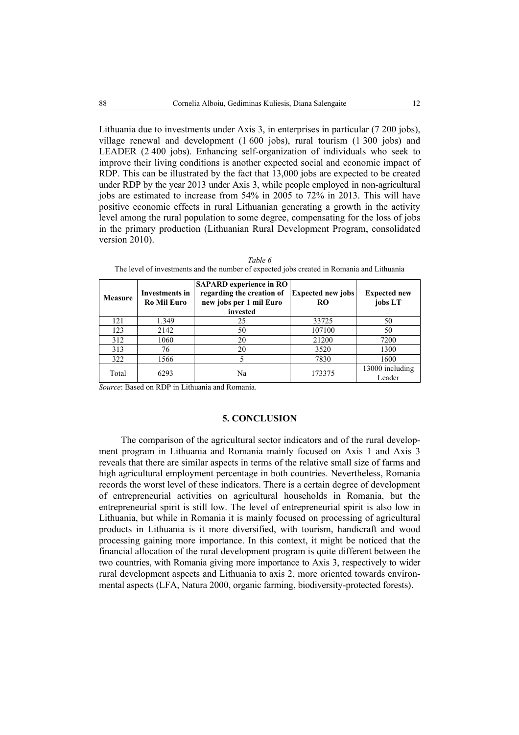Lithuania due to investments under Axis 3, in enterprises in particular (7 200 jobs), village renewal and development (1 600 jobs), rural tourism (1 300 jobs) and LEADER (2.400 jobs). Enhancing self-organization of individuals who seek to improve their living conditions is another expected social and economic impact of RDP. This can be illustrated by the fact that 13,000 jobs are expected to be created under RDP by the year 2013 under Axis 3, while people employed in non-agricultural jobs are estimated to increase from 54% in 2005 to 72% in 2013. This will have positive economic effects in rural Lithuanian generating a growth in the activity level among the rural population to some degree, compensating for the loss of jobs in the primary production (Lithuanian Rural Development Program, consolidated version 2010).

| <b>Measure</b> | Investments in<br><b>Ro Mil Euro</b> | <b>SAPARD</b> experience in RO<br>regarding the creation of<br>new jobs per 1 mil Euro<br>invested | <b>Expected new jobs</b><br><b>RO</b> | <b>Expected new</b><br>jobs LT |
|----------------|--------------------------------------|----------------------------------------------------------------------------------------------------|---------------------------------------|--------------------------------|
| 121            | 1.349                                | 25                                                                                                 | 33725                                 | 50                             |
| 123            | 2142                                 | 50                                                                                                 | 107100                                | 50                             |
| 312            | 1060                                 | 20                                                                                                 | 21200                                 | 7200                           |
| 313            | 76                                   | 20                                                                                                 | 3520                                  | 1300                           |
| 322            | 1566                                 |                                                                                                    | 7830                                  | 1600                           |
| Total          | 6293                                 | Na                                                                                                 | 173375                                | 13000 including<br>Leader      |

*Table 6*  The level of investments and the number of expected jobs created in Romania and Lithuania

*Source*: Based on RDP in Lithuania and Romania.

### **5. CONCLUSION**

The comparison of the agricultural sector indicators and of the rural development program in Lithuania and Romania mainly focused on Axis 1 and Axis 3 reveals that there are similar aspects in terms of the relative small size of farms and high agricultural employment percentage in both countries. Nevertheless, Romania records the worst level of these indicators. There is a certain degree of development of entrepreneurial activities on agricultural households in Romania, but the entrepreneurial spirit is still low. The level of entrepreneurial spirit is also low in Lithuania, but while in Romania it is mainly focused on processing of agricultural products in Lithuania is it more diversified, with tourism, handicraft and wood processing gaining more importance. In this context, it might be noticed that the financial allocation of the rural development program is quite different between the two countries, with Romania giving more importance to Axis 3, respectively to wider rural development aspects and Lithuania to axis 2, more oriented towards environmental aspects (LFA, Natura 2000, organic farming, biodiversity-protected forests).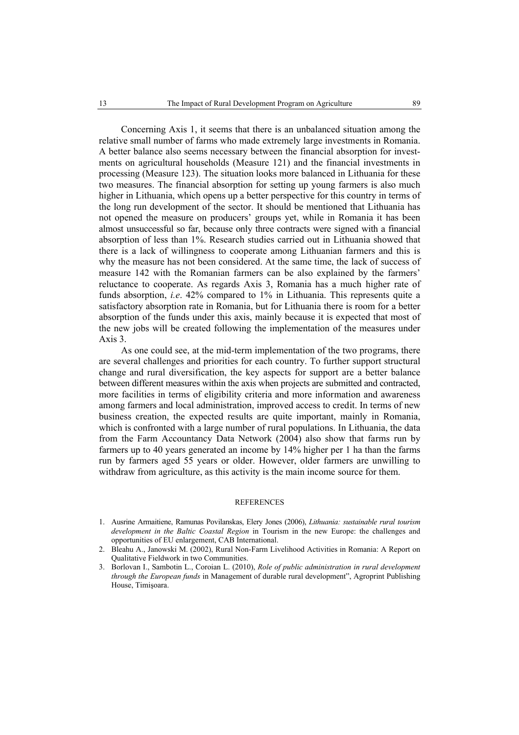Concerning Axis 1, it seems that there is an unbalanced situation among the relative small number of farms who made extremely large investments in Romania. A better balance also seems necessary between the financial absorption for investments on agricultural households (Measure 121) and the financial investments in processing (Measure 123). The situation looks more balanced in Lithuania for these two measures. The financial absorption for setting up young farmers is also much higher in Lithuania, which opens up a better perspective for this country in terms of the long run development of the sector. It should be mentioned that Lithuania has not opened the measure on producers' groups yet, while in Romania it has been almost unsuccessful so far, because only three contracts were signed with a financial absorption of less than 1%. Research studies carried out in Lithuania showed that there is a lack of willingness to cooperate among Lithuanian farmers and this is why the measure has not been considered. At the same time, the lack of success of measure 142 with the Romanian farmers can be also explained by the farmers' reluctance to cooperate. As regards Axis 3, Romania has a much higher rate of funds absorption, *i.e*. 42% compared to 1% in Lithuania. This represents quite a satisfactory absorption rate in Romania, but for Lithuania there is room for a better absorption of the funds under this axis, mainly because it is expected that most of the new jobs will be created following the implementation of the measures under Axis 3.

As one could see, at the mid-term implementation of the two programs, there are several challenges and priorities for each country. To further support structural change and rural diversification, the key aspects for support are a better balance between different measures within the axis when projects are submitted and contracted, more facilities in terms of eligibility criteria and more information and awareness among farmers and local administration, improved access to credit. In terms of new business creation, the expected results are quite important, mainly in Romania, which is confronted with a large number of rural populations. In Lithuania, the data from the Farm Accountancy Data Network (2004) also show that farms run by farmers up to 40 years generated an income by 14% higher per 1 ha than the farms run by farmers aged 55 years or older. However, older farmers are unwilling to withdraw from agriculture, as this activity is the main income source for them.

#### **REFERENCES**

- 1. Ausrine Armaitiene, Ramunas Povilanskas, Elery Jones (2006), *Lithuania: sustainable rural tourism development in the Baltic Coastal Region* in Tourism in the new Europe: the challenges and opportunities of EU enlargement, CAB International.
- 2. Bleahu A., Janowski M. (2002), Rural Non-Farm Livelihood Activities in Romania: A Report on Qualitative Fieldwork in two Communities.
- 3. Borlovan I., Sambotin L., Coroian L. (2010), *Role of public administration in rural development through the European funds* in Management of durable rural development", Agroprint Publishing House, Timişoara.